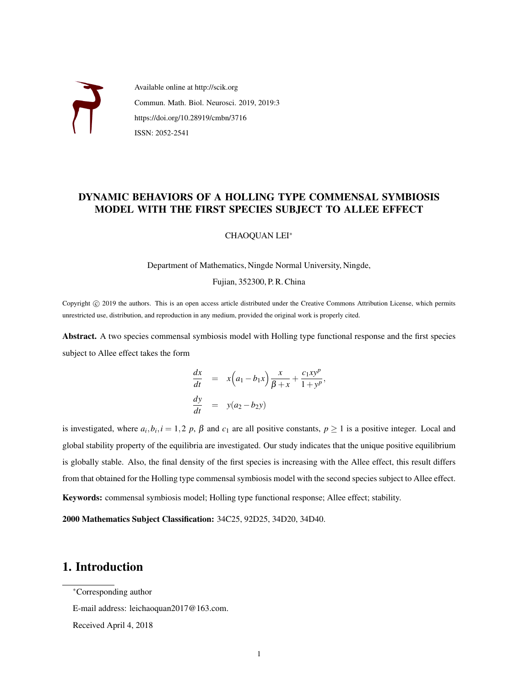

Available online at http://scik.org Commun. Math. Biol. Neurosci. 2019, 2019:3 https://doi.org/10.28919/cmbn/3716 ISSN: 2052-2541

### DYNAMIC BEHAVIORS OF A HOLLING TYPE COMMENSAL SYMBIOSIS MODEL WITH THE FIRST SPECIES SUBJECT TO ALLEE EFFECT

CHAOQUAN LEI<sup>∗</sup>

Department of Mathematics, Ningde Normal University, Ningde,

Fujian, 352300, P. R. China

Copyright © 2019 the authors. This is an open access article distributed under the Creative Commons Attribution License, which permits unrestricted use, distribution, and reproduction in any medium, provided the original work is properly cited.

Abstract. A two species commensal symbiosis model with Holling type functional response and the first species subject to Allee effect takes the form

$$
\frac{dx}{dt} = x\left(a_1 - b_1x\right)\frac{x}{\beta + x} + \frac{c_1xy^p}{1 + y^p},
$$
  

$$
\frac{dy}{dt} = y(a_2 - b_2y)
$$

is investigated, where  $a_i, b_i, i = 1, 2, p, \beta$  and  $c_1$  are all positive constants,  $p \ge 1$  is a positive integer. Local and global stability property of the equilibria are investigated. Our study indicates that the unique positive equilibrium is globally stable. Also, the final density of the first species is increasing with the Allee effect, this result differs from that obtained for the Holling type commensal symbiosis model with the second species subject to Allee effect. Keywords: commensal symbiosis model; Holling type functional response; Allee effect; stability.

2000 Mathematics Subject Classification: 34C25, 92D25, 34D20, 34D40.

## 1. Introduction

Received April 4, 2018

<sup>∗</sup>Corresponding author

E-mail address: leichaoquan2017@163.com.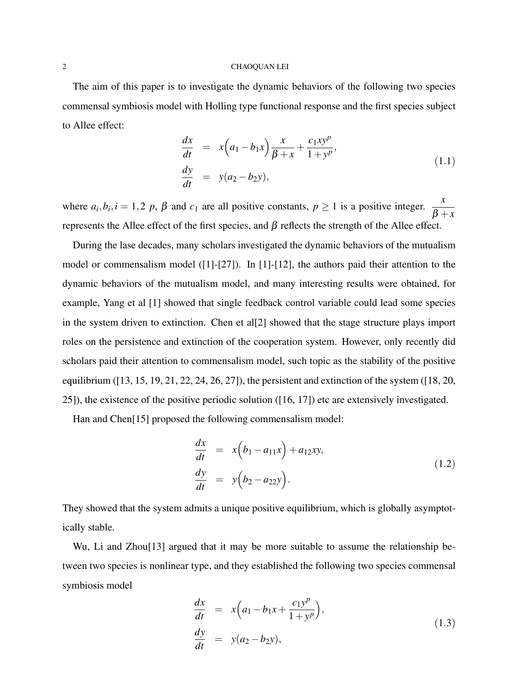### 2 CHAOQUAN LEI

The aim of this paper is to investigate the dynamic behaviors of the following two species commensal symbiosis model with Holling type functional response and the first species subject to Allee effect:

$$
\frac{dx}{dt} = x\left(a_1 - b_1x\right)\frac{x}{\beta + x} + \frac{c_1xy^p}{1 + y^p}, \n \frac{dy}{dt} = y(a_2 - b_2y),
$$
\n(1.1)

where  $a_i, b_i, i = 1, 2, p, \beta$  and  $c_1$  are all positive constants,  $p \ge 1$  is a positive integer.  $\frac{x}{\beta + x}$ represents the Allee effect of the first species, and β reflects the strength of the Allee effect.

During the lase decades, many scholars investigated the dynamic behaviors of the mutualism model or commensalism model ([1]-[27]). In [1]-[12], the authors paid their attention to the dynamic behaviors of the mutualism model, and many interesting results were obtained, for example, Yang et al [1] showed that single feedback control variable could lead some species in the system driven to extinction. Chen et all  $[2]$  showed that the stage structure plays import roles on the persistence and extinction of the cooperation system. However, only recently did scholars paid their attention to commensalism model, such topic as the stability of the positive equilibrium ([13, 15, 19, 21, 22, 24, 26, 27]), the persistent and extinction of the system ([18, 20, 25]), the existence of the positive periodic solution ([16, 17]) etc are extensively investigated.

Han and Chen<sup>[15]</sup> proposed the following commensalism model:

$$
\frac{dx}{dt} = x\left(b_1 - a_{11}x\right) + a_{12}xy,
$$
\n
$$
\frac{dy}{dt} = y\left(b_2 - a_{22}y\right).
$$
\n(1.2)

They showed that the system admits a unique positive equilibrium, which is globally asymptotically stable.

Wu, Li and Zhou<sup>[13]</sup> argued that it may be more suitable to assume the relationship between two species is nonlinear type, and they established the following two species commensal symbiosis model

$$
\begin{array}{rcl}\n\frac{dx}{dt} & = & x \left( a_1 - b_1 x + \frac{c_1 y^p}{1 + y^p} \right), \\
\frac{dy}{dt} & = & y(a_2 - b_2 y),\n\end{array} \tag{1.3}
$$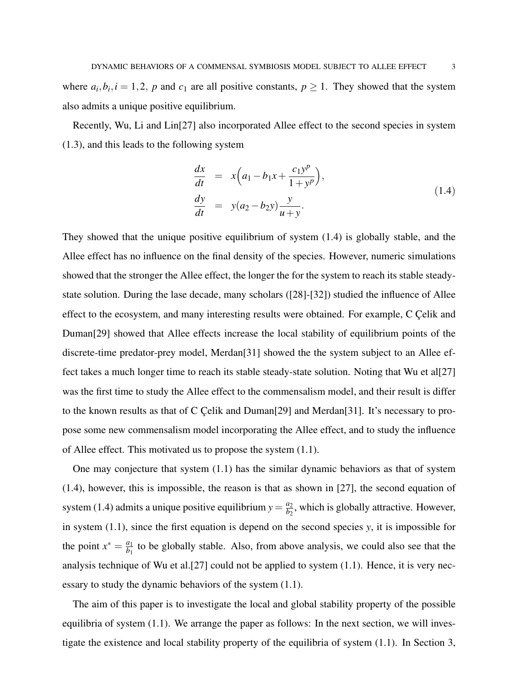where  $a_i, b_i, i = 1, 2, p$  and  $c_1$  are all positive constants,  $p \ge 1$ . They showed that the system also admits a unique positive equilibrium.

Recently, Wu, Li and Lin[27] also incorporated Allee effect to the second species in system (1.3), and this leads to the following system

$$
\frac{dx}{dt} = x\left(a_1 - b_1 x + \frac{c_1 y^p}{1 + y^p}\right),\n\frac{dy}{dt} = y(a_2 - b_2 y) \frac{y}{u + y}.
$$
\n(1.4)

They showed that the unique positive equilibrium of system (1.4) is globally stable, and the Allee effect has no influence on the final density of the species. However, numeric simulations showed that the stronger the Allee effect, the longer the for the system to reach its stable steadystate solution. During the lase decade, many scholars ([28]-[32]) studied the influence of Allee effect to the ecosystem, and many interesting results were obtained. For example, C Çelik and Duman[29] showed that Allee effects increase the local stability of equilibrium points of the discrete-time predator-prey model, Merdan[31] showed the the system subject to an Allee effect takes a much longer time to reach its stable steady-state solution. Noting that Wu et al[27] was the first time to study the Allee effect to the commensalism model, and their result is differ to the known results as that of C Celik and Duman[29] and Merdan[31]. It's necessary to propose some new commensalism model incorporating the Allee effect, and to study the influence of Allee effect. This motivated us to propose the system (1.1).

One may conjecture that system (1.1) has the similar dynamic behaviors as that of system (1.4), however, this is impossible, the reason is that as shown in [27], the second equation of system (1.4) admits a unique positive equilibrium  $y = \frac{a_2}{b_2}$  $\frac{a_2}{b_2}$ , which is globally attractive. However, in system (1.1), since the first equation is depend on the second species *y*, it is impossible for the point  $x^* = \frac{a_1}{b_1}$  $\frac{a_1}{b_1}$  to be globally stable. Also, from above analysis, we could also see that the analysis technique of Wu et al.[27] could not be applied to system (1.1). Hence, it is very necessary to study the dynamic behaviors of the system (1.1).

The aim of this paper is to investigate the local and global stability property of the possible equilibria of system (1.1). We arrange the paper as follows: In the next section, we will investigate the existence and local stability property of the equilibria of system (1.1). In Section 3,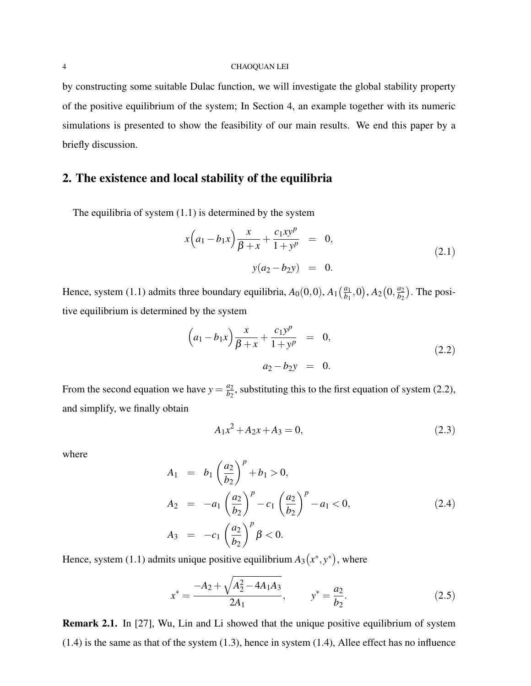by constructing some suitable Dulac function, we will investigate the global stability property of the positive equilibrium of the system; In Section 4, an example together with its numeric simulations is presented to show the feasibility of our main results. We end this paper by a briefly discussion.

# 2. The existence and local stability of the equilibria

The equilibria of system (1.1) is determined by the system

$$
x\left(a_1 - b_1x\right)\frac{x}{\beta + x} + \frac{c_1xy^p}{1 + y^p} = 0,
$$
  

$$
y(a_2 - b_2y) = 0.
$$
 (2.1)

Hence, system (1.1) admits three boundary equilibria,  $A_0(0,0)$ ,  $A_1\left(\frac{a_1}{b_1}\right)$  $\frac{a_1}{b_1}, 0), A_2(0, \frac{a_2}{b_2})$  $\frac{a_2}{b_2}$ ). The positive equilibrium is determined by the system

$$
\left(a_1 - b_1 x\right) \frac{x}{\beta + x} + \frac{c_1 y^p}{1 + y^p} = 0,
$$
\n
$$
a_2 - b_2 y = 0.
$$
\n(2.2)

From the second equation we have  $y = \frac{a_2}{b_2}$  $\frac{a_2}{b_2}$ , substituting this to the first equation of system (2.2), and simplify, we finally obtain

$$
A_1 x^2 + A_2 x + A_3 = 0,\t\t(2.3)
$$

where

$$
A_1 = b_1 \left(\frac{a_2}{b_2}\right)^p + b_1 > 0,
$$
  
\n
$$
A_2 = -a_1 \left(\frac{a_2}{b_2}\right)^p - c_1 \left(\frac{a_2}{b_2}\right)^p - a_1 < 0,
$$
  
\n
$$
A_3 = -c_1 \left(\frac{a_2}{b_2}\right)^p \beta < 0.
$$
\n(2.4)

Hence, system (1.1) admits unique positive equilibrium  $A_3(x^*, y^*)$ , where

$$
x^* = \frac{-A_2 + \sqrt{A_2^2 - 4A_1A_3}}{2A_1}, \qquad y^* = \frac{a_2}{b_2}.
$$
 (2.5)

Remark 2.1. In [27], Wu, Lin and Li showed that the unique positive equilibrium of system (1.4) is the same as that of the system (1.3), hence in system (1.4), Allee effect has no influence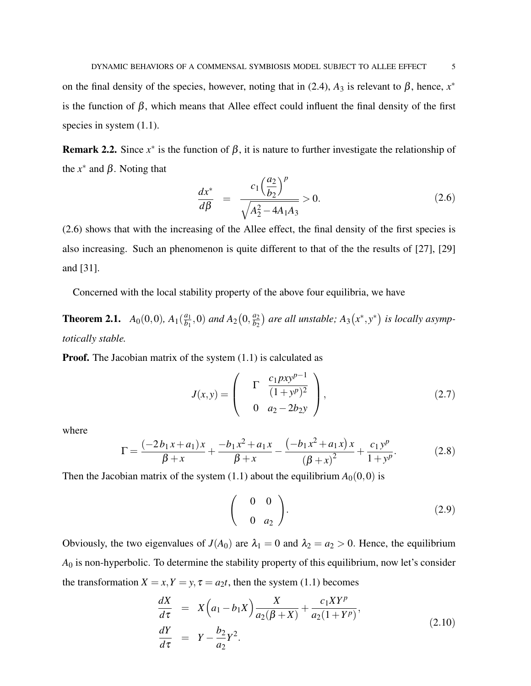on the final density of the species, however, noting that in (2.4),  $A_3$  is relevant to  $\beta$ , hence,  $x^*$ is the function of  $\beta$ , which means that Allee effect could influent the final density of the first species in system  $(1.1)$ .

**Remark 2.2.** Since  $x^*$  is the function of  $\beta$ , it is nature to further investigate the relationship of the  $x^*$  and  $\beta$ . Noting that

$$
\frac{dx^*}{d\beta} = \frac{c_1 \left(\frac{a_2}{b_2}\right)^p}{\sqrt{A_2^2 - 4A_1 A_3}} > 0.
$$
\n(2.6)

(2.6) shows that with the increasing of the Allee effect, the final density of the first species is also increasing. Such an phenomenon is quite different to that of the the results of [27], [29] and [31].

Concerned with the local stability property of the above four equilibria, we have

**Theorem 2.1.**  $A_0(0,0)$ ,  $A_1(\frac{a_1}{b_1})$  $\frac{a_1}{b_1}$ , 0) *and*  $A_2(0, \frac{a_2}{b_2})$  $\frac{a_2}{b_2}$ ) are all unstable;  $A_3(x^*,y^*)$  is locally asymp*totically stable.*

**Proof.** The Jacobian matrix of the system  $(1.1)$  is calculated as

$$
J(x,y) = \begin{pmatrix} \Gamma & \frac{c_1 p x y^{p-1}}{(1+y^p)^2} \\ 0 & a_2 - 2b_2 y \end{pmatrix},
$$
 (2.7)

where

$$
\Gamma = \frac{(-2b_1x + a_1)x}{\beta + x} + \frac{-b_1x^2 + a_1x}{\beta + x} - \frac{(-b_1x^2 + a_1x)x}{(\beta + x)^2} + \frac{c_1y^p}{1 + y^p}.
$$
 (2.8)

Then the Jacobian matrix of the system  $(1.1)$  about the equilibrium  $A_0(0,0)$  is

$$
\left(\begin{array}{cc} 0 & 0 \\ 0 & a_2 \end{array}\right). \tag{2.9}
$$

Obviously, the two eigenvalues of  $J(A_0)$  are  $\lambda_1 = 0$  and  $\lambda_2 = a_2 > 0$ . Hence, the equilibrium *A*<sup>0</sup> is non-hyperbolic. To determine the stability property of this equilibrium, now let's consider the transformation  $X = x, Y = y, \tau = a_2 t$ , then the system (1.1) becomes

$$
\frac{dX}{d\tau} = X\left(a_1 - b_1X\right)\frac{X}{a_2(\beta + X)} + \frac{c_1XY^p}{a_2(1 + Y^p)}, \n\frac{dY}{d\tau} = Y - \frac{b_2}{a_2}Y^2.
$$
\n(2.10)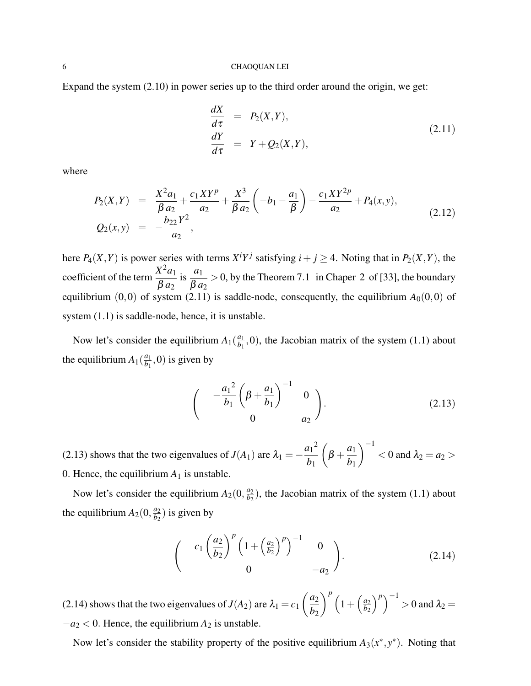#### 6 CHAOQUAN LEI

Expand the system (2.10) in power series up to the third order around the origin, we get:

$$
\frac{dX}{d\tau} = P_2(X, Y), \n\frac{dY}{d\tau} = Y + Q_2(X, Y),
$$
\n(2.11)

where

$$
P_2(X,Y) = \frac{X^2 a_1}{\beta a_2} + \frac{c_1 XY^p}{a_2} + \frac{X^3}{\beta a_2} \left( -b_1 - \frac{a_1}{\beta} \right) - \frac{c_1 XY^{2p}}{a_2} + P_4(x,y),
$$
  
\n
$$
Q_2(x,y) = -\frac{b_{22} Y^2}{a_2},
$$
\n(2.12)

here  $P_4(X, Y)$  is power series with terms  $X^i Y^j$  satisfying  $i + j \geq 4$ . Noting that in  $P_2(X, Y)$ , the coefficient of the term  $\frac{X^2 a_1}{\rho}$ β *a*<sup>2</sup> is  $\frac{a_1}{\rho}$  $\beta$   $a_2$  $> 0$ , by the Theorem 7.1 in Chaper 2 of [33], the boundary equilibrium  $(0,0)$  of system (2.11) is saddle-node, consequently, the equilibrium  $A_0(0,0)$  of system  $(1.1)$  is saddle-node, hence, it is unstable.

Now let's consider the equilibrium  $A_1(\frac{a_1}{b_1})$  $\frac{a_1}{b_1}$ , 0), the Jacobian matrix of the system (1.1) about the equilibrium  $A_1(\frac{a_1}{b_1})$  $\frac{a_1}{b_1}$ , 0) is given by

$$
\begin{pmatrix} -\frac{a_1^2}{b_1} \left( \beta + \frac{a_1}{b_1} \right)^{-1} & 0 \\ 0 & a_2 \end{pmatrix}.
$$
 (2.13)

(2.13) shows that the two eigenvalues of *J*(*A*<sub>1</sub>) are  $\lambda_1 = -\frac{a_1^2}{b_1^2}$ *b*1  $\sqrt{ }$  $\beta + \frac{a_1}{b_1}$ *b*1  $\setminus^{-1}$  $<$  0 and  $\lambda_2$  =  $a_2$  > 0. Hence, the equilibrium  $A_1$  is unstable.

Now let's consider the equilibrium  $A_2(0, \frac{a_2}{b_2})$  $\frac{a_2}{b_2}$ ), the Jacobian matrix of the system (1.1) about the equilibrium  $A_2(0, \frac{a_2}{b_2})$  $\frac{a_2}{b_2}$ ) is given by

$$
\begin{pmatrix} c_1 \left(\frac{a_2}{b_2}\right)^p \left(1 + \left(\frac{a_2}{b_2}\right)^p\right)^{-1} & 0\\ 0 & -a_2 \end{pmatrix}.
$$
 (2.14)

(2.14) shows that the two eigenvalues of  $J(A_2)$  are  $\lambda_1 = c_1$  $\int a_2$ *b*2  $\int^p \left(1+\left(\frac{a_2}{b_2}\right)\right)$ *b*2  $\binom{p}{k}^{-1} > 0$  and  $\lambda_2 =$  $-a_2 < 0$ . Hence, the equilibrium  $A_2$  is unstable.

Now let's consider the stability property of the positive equilibrium  $A_3(x^*, y^*)$ . Noting that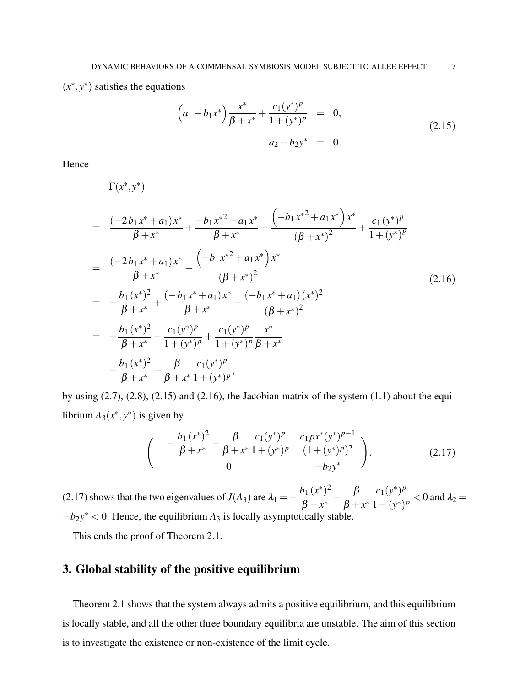$(x^*, y^*)$  satisfies the equations

$$
\left(a_1 - b_1 x^*\right) \frac{x^*}{\beta + x^*} + \frac{c_1 (y^*)^p}{1 + (y^*)^p} = 0,
$$
\n
$$
a_2 - b_2 y^* = 0.
$$
\n(2.15)

Hence

$$
\Gamma(x^*, y^*)
$$
\n
$$
= \frac{(-2b_1x^* + a_1)x^*}{\beta + x^*} + \frac{-b_1x^{*2} + a_1x^*}{\beta + x^*} - \frac{(-b_1x^{*2} + a_1x^*)x^*}{(\beta + x^*)^2} + \frac{c_1(y^*)^p}{1 + (y^*)^p}
$$
\n
$$
= \frac{(-2b_1x^* + a_1)x^*}{\beta + x^*} - \frac{(-b_1x^{*2} + a_1x^*)x^*}{(\beta + x^*)^2}
$$
\n
$$
= -\frac{b_1(x^*)^2}{\beta + x^*} + \frac{(-b_1x^* + a_1)x^*}{\beta + x^*} - \frac{(-b_1x^* + a_1)(x^*)^2}{(\beta + x^*)^2}
$$
\n
$$
= -\frac{b_1(x^*)^2}{\beta + x^*} - \frac{c_1(y^*)^p}{1 + (y^*)^p} + \frac{c_1(y^*)^p}{1 + (y^*)^p} \frac{x^*}{\beta + x^*}
$$
\n
$$
= -\frac{b_1(x^*)^2}{\beta + x^*} - \frac{\beta}{\beta + x^*} \frac{c_1(y^*)^p}{1 + (y^*)^p},
$$
\n(2.16)

by using  $(2.7)$ ,  $(2.8)$ ,  $(2.15)$  and  $(2.16)$ , the Jacobian matrix of the system  $(1.1)$  about the equilibrium  $A_3(x^*, y^*)$  is given by

$$
\begin{pmatrix} -\frac{b_1 (x^*)^2}{\beta + x^*} - \frac{\beta}{\beta + x^*} \frac{c_1 (y^*)^p}{1 + (y^*)^p} & \frac{c_1 p x^* (y^*)^{p-1}}{(1 + (y^*)^p)^2} \\ 0 & -b_2 y^* \end{pmatrix} .
$$
 (2.17)

(2.17) shows that the two eigenvalues of  $J(A_3)$  are  $\lambda_1 = -\frac{b_1 (x^*)^2}{B_1 x^*}$  $\frac{b_1(x^*)^2}{\beta + x^*} - \frac{\beta}{\beta + x^*}$  $\beta + x^*$  $c_1(y^*)^p$  $\frac{\mathcal{C}_1(y)}{1 + (y^*)^p}$  < 0 and  $\lambda_2 =$  $-b_2y^* < 0$ . Hence, the equilibrium  $A_3$  is locally asymptotically stable.

This ends the proof of Theorem 2.1.

# 3. Global stability of the positive equilibrium

Theorem 2.1 shows that the system always admits a positive equilibrium, and this equilibrium is locally stable, and all the other three boundary equilibria are unstable. The aim of this section is to investigate the existence or non-existence of the limit cycle.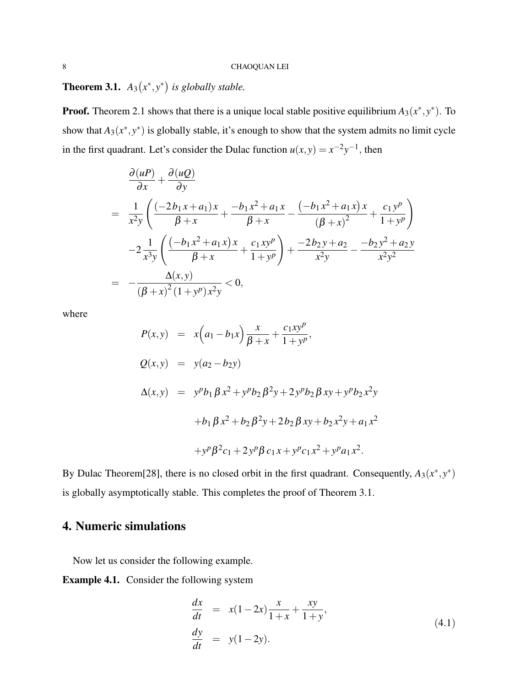**Theorem 3.1.**  $A_3(x^*, y^*)$  is globally stable.

**Proof.** Theorem 2.1 shows that there is a unique local stable positive equilibrium  $A_3(x^*, y^*)$ . To show that  $A_3(x^*, y^*)$  is globally stable, it's enough to show that the system admits no limit cycle in the first quadrant. Let's consider the Dulac function  $u(x, y) = x^{-2}y^{-1}$ , then

$$
\frac{\partial (uP)}{\partial x} + \frac{\partial (uQ)}{\partial y}
$$
\n
$$
= \frac{1}{x^2 y} \left( \frac{(-2b_1 x + a_1)x}{\beta + x} + \frac{-b_1 x^2 + a_1 x}{\beta + x} - \frac{(-b_1 x^2 + a_1 x)x}{(\beta + x)^2} + \frac{c_1 y^p}{1 + y^p} \right)
$$
\n
$$
-2 \frac{1}{x^3 y} \left( \frac{(-b_1 x^2 + a_1 x)x}{\beta + x} + \frac{c_1 x y^p}{1 + y^p} \right) + \frac{-2b_2 y + a_2}{x^2 y} - \frac{-b_2 y^2 + a_2 y}{x^2 y^2}
$$
\n
$$
= -\frac{\Delta(x, y)}{(\beta + x)^2 (1 + y^p) x^2 y} < 0,
$$

where

$$
P(x,y) = x\left(a_1 - b_1x\right)\frac{x}{\beta + x} + \frac{c_1xy^p}{1 + y^p},
$$
  
\n
$$
Q(x,y) = y(a_2 - b_2y)
$$
  
\n
$$
\Delta(x,y) = y^p b_1 \beta x^2 + y^p b_2 \beta^2 y + 2y^p b_2 \beta xy + y^p b_2 x^2 y
$$
  
\n
$$
+ b_1 \beta x^2 + b_2 \beta^2 y + 2b_2 \beta xy + b_2 x^2 y + a_1 x^2
$$
  
\n
$$
+ y^p \beta^2 c_1 + 2y^p \beta c_1 x + y^p c_1 x^2 + y^p a_1 x^2.
$$

By Dulac Theorem<sup>[28]</sup>, there is no closed orbit in the first quadrant. Consequently,  $A_3(x^*,y^*)$ is globally asymptotically stable. This completes the proof of Theorem 3.1.

# 4. Numeric simulations

Now let us consider the following example.

Example 4.1. Consider the following system

$$
\frac{dx}{dt} = x(1-2x)\frac{x}{1+x} + \frac{xy}{1+y}, \n \frac{dy}{dt} = y(1-2y).
$$
\n(4.1)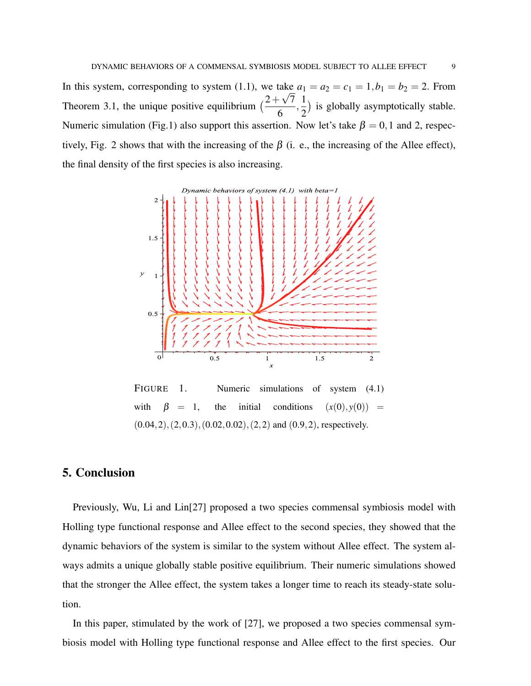In this system, corresponding to system (1.1), we take  $a_1 = a_2 = c_1 = 1, b_1 = b_2 = 2$ . From Theorem 3.1, the unique positive equilibrium  $\left(\frac{2+\sqrt{7}}{6}\right)$ 6  $\frac{1}{2}$ 2 ) is globally asymptotically stable. Numeric simulation (Fig.1) also support this assertion. Now let's take  $\beta = 0, 1$  and 2, respectively, Fig. 2 shows that with the increasing of the  $\beta$  (i. e., the increasing of the Allee effect), the final density of the first species is also increasing.



FIGURE 1. Numeric simulations of system  $(4.1)$ with  $\beta = 1$ , the initial conditions  $(x(0), y(0)) =$  $(0.04, 2), (2, 0.3), (0.02, 0.02), (2, 2)$  and  $(0.9, 2)$ , respectively.

## 5. Conclusion

Previously, Wu, Li and Lin[27] proposed a two species commensal symbiosis model with Holling type functional response and Allee effect to the second species, they showed that the dynamic behaviors of the system is similar to the system without Allee effect. The system always admits a unique globally stable positive equilibrium. Their numeric simulations showed that the stronger the Allee effect, the system takes a longer time to reach its steady-state solution.

In this paper, stimulated by the work of [27], we proposed a two species commensal symbiosis model with Holling type functional response and Allee effect to the first species. Our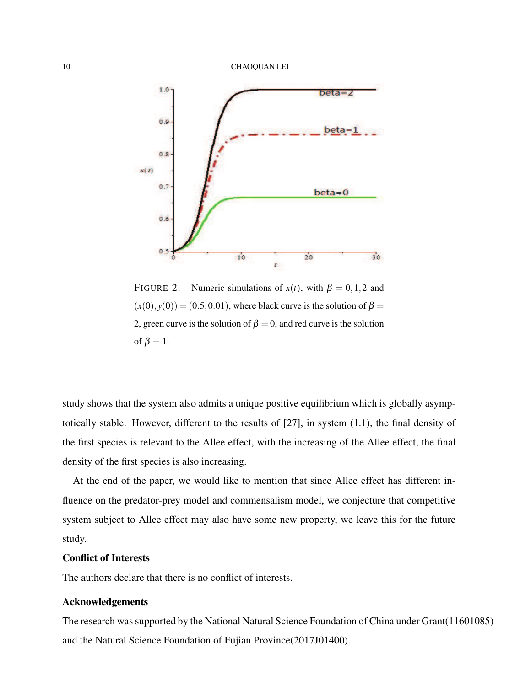

FIGURE 2. Numeric simulations of  $x(t)$ , with  $\beta = 0, 1, 2$  and  $(x(0), y(0)) = (0.5, 0.01)$ , where black curve is the solution of  $\beta =$ 2, green curve is the solution of  $\beta = 0$ , and red curve is the solution of  $\beta = 1$ .

study shows that the system also admits a unique positive equilibrium which is globally asymptotically stable. However, different to the results of [27], in system (1.1), the final density of the first species is relevant to the Allee effect, with the increasing of the Allee effect, the final density of the first species is also increasing.

At the end of the paper, we would like to mention that since Allee effect has different influence on the predator-prey model and commensalism model, we conjecture that competitive system subject to Allee effect may also have some new property, we leave this for the future study.

### Conflict of Interests

The authors declare that there is no conflict of interests.

### Acknowledgements

The research was supported by the National Natural Science Foundation of China under Grant(11601085) and the Natural Science Foundation of Fujian Province(2017J01400).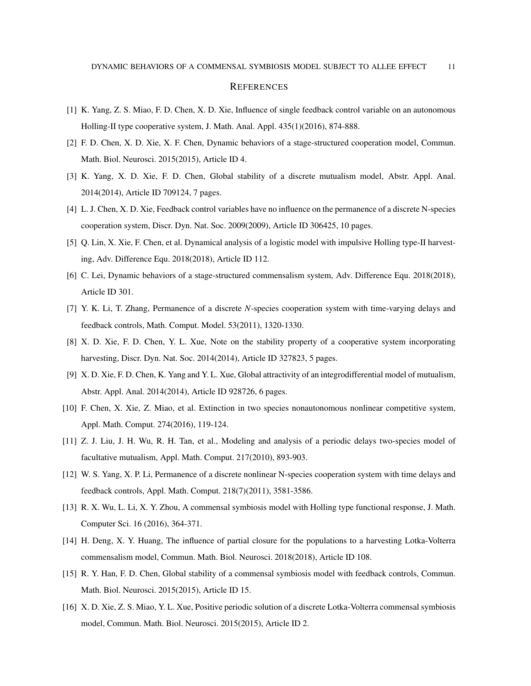#### **REFERENCES**

- [1] K. Yang, Z. S. Miao, F. D. Chen, X. D. Xie, Influence of single feedback control variable on an autonomous Holling-II type cooperative system, J. Math. Anal. Appl. 435(1)(2016), 874-888.
- [2] F. D. Chen, X. D. Xie, X. F. Chen, Dynamic behaviors of a stage-structured cooperation model, Commun. Math. Biol. Neurosci. 2015(2015), Article ID 4.
- [3] K. Yang, X. D. Xie, F. D. Chen, Global stability of a discrete mutualism model, Abstr. Appl. Anal. 2014(2014), Article ID 709124, 7 pages.
- [4] L. J. Chen, X. D. Xie, Feedback control variables have no influence on the permanence of a discrete N-species cooperation system, Discr. Dyn. Nat. Soc. 2009(2009), Article ID 306425, 10 pages.
- [5] Q. Lin, X. Xie, F. Chen, et al. Dynamical analysis of a logistic model with impulsive Holling type-II harvesting, Adv. Difference Equ. 2018(2018), Article ID 112.
- [6] C. Lei, Dynamic behaviors of a stage-structured commensalism system, Adv. Difference Equ. 2018(2018), Article ID 301.
- [7] Y. K. Li, T. Zhang, Permanence of a discrete *N*-species cooperation system with time-varying delays and feedback controls, Math. Comput. Model. 53(2011), 1320-1330.
- [8] X. D. Xie, F. D. Chen, Y. L. Xue, Note on the stability property of a cooperative system incorporating harvesting, Discr. Dyn. Nat. Soc. 2014(2014), Article ID 327823, 5 pages.
- [9] X. D. Xie, F. D. Chen, K. Yang and Y. L. Xue, Global attractivity of an integrodifferential model of mutualism, Abstr. Appl. Anal. 2014(2014), Article ID 928726, 6 pages.
- [10] F. Chen, X. Xie, Z. Miao, et al. Extinction in two species nonautonomous nonlinear competitive system, Appl. Math. Comput. 274(2016), 119-124.
- [11] Z. J. Liu, J. H. Wu, R. H. Tan, et al., Modeling and analysis of a periodic delays two-species model of facultative mutualism, Appl. Math. Comput. 217(2010), 893-903.
- [12] W. S. Yang, X. P. Li, Permanence of a discrete nonlinear N-species cooperation system with time delays and feedback controls, Appl. Math. Comput. 218(7)(2011), 3581-3586.
- [13] R. X. Wu, L. Li, X. Y. Zhou, A commensal symbiosis model with Holling type functional response, J. Math. Computer Sci. 16 (2016), 364-371.
- [14] H. Deng, X. Y. Huang, The influence of partial closure for the populations to a harvesting Lotka-Volterra commensalism model, Commun. Math. Biol. Neurosci. 2018(2018), Article ID 108.
- [15] R. Y. Han, F. D. Chen, Global stability of a commensal symbiosis model with feedback controls, Commun. Math. Biol. Neurosci. 2015(2015), Article ID 15.
- [16] X. D. Xie, Z. S. Miao, Y. L. Xue, Positive periodic solution of a discrete Lotka-Volterra commensal symbiosis model, Commun. Math. Biol. Neurosci. 2015(2015), Article ID 2.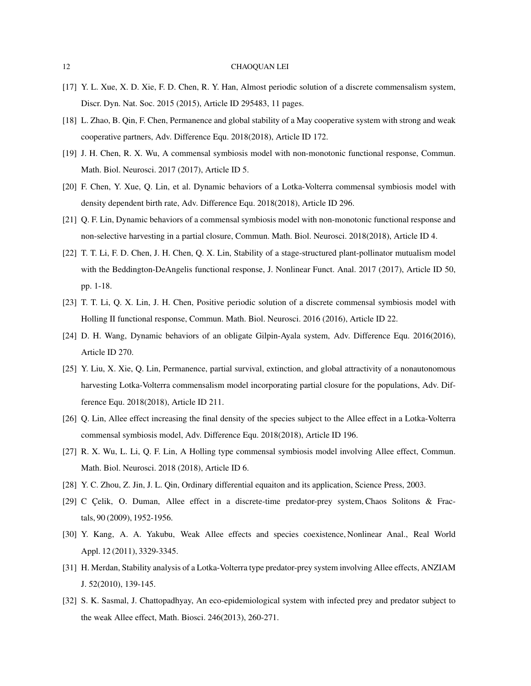#### 12 CHAOQUAN LEI

- [17] Y. L. Xue, X. D. Xie, F. D. Chen, R. Y. Han, Almost periodic solution of a discrete commensalism system, Discr. Dyn. Nat. Soc. 2015 (2015), Article ID 295483, 11 pages.
- [18] L. Zhao, B. Qin, F. Chen, Permanence and global stability of a May cooperative system with strong and weak cooperative partners, Adv. Difference Equ. 2018(2018), Article ID 172.
- [19] J. H. Chen, R. X. Wu, A commensal symbiosis model with non-monotonic functional response, Commun. Math. Biol. Neurosci. 2017 (2017), Article ID 5.
- [20] F. Chen, Y. Xue, Q. Lin, et al. Dynamic behaviors of a Lotka-Volterra commensal symbiosis model with density dependent birth rate, Adv. Difference Equ. 2018(2018), Article ID 296.
- [21] Q. F. Lin, Dynamic behaviors of a commensal symbiosis model with non-monotonic functional response and non-selective harvesting in a partial closure, Commun. Math. Biol. Neurosci. 2018(2018), Article ID 4.
- [22] T. T. Li, F. D. Chen, J. H. Chen, Q. X. Lin, Stability of a stage-structured plant-pollinator mutualism model with the Beddington-DeAngelis functional response, J. Nonlinear Funct. Anal. 2017 (2017), Article ID 50, pp. 1-18.
- [23] T. T. Li, Q. X. Lin, J. H. Chen, Positive periodic solution of a discrete commensal symbiosis model with Holling II functional response, Commun. Math. Biol. Neurosci. 2016 (2016), Article ID 22.
- [24] D. H. Wang, Dynamic behaviors of an obligate Gilpin-Ayala system, Adv. Difference Equ. 2016(2016), Article ID 270.
- [25] Y. Liu, X. Xie, Q. Lin, Permanence, partial survival, extinction, and global attractivity of a nonautonomous harvesting Lotka-Volterra commensalism model incorporating partial closure for the populations, Adv. Difference Equ. 2018(2018), Article ID 211.
- [26] Q. Lin, Allee effect increasing the final density of the species subject to the Allee effect in a Lotka-Volterra commensal symbiosis model, Adv. Difference Equ. 2018(2018), Article ID 196.
- [27] R. X. Wu, L. Li, Q. F. Lin, A Holling type commensal symbiosis model involving Allee effect, Commun. Math. Biol. Neurosci. 2018 (2018), Article ID 6.
- [28] Y. C. Zhou, Z. Jin, J. L. Qin, Ordinary differential equaiton and its application, Science Press, 2003.
- [29] C Celik, O. Duman, Allee effect in a discrete-time predator-prey system, Chaos Solitons & Fractals, 90 (2009), 1952-1956.
- [30] Y. Kang, A. A. Yakubu, Weak Allee effects and species coexistence, Nonlinear Anal., Real World Appl. 12 (2011), 3329-3345.
- [31] H. Merdan, Stability analysis of a Lotka-Volterra type predator-prey system involving Allee effects, ANZIAM J. 52(2010), 139-145.
- [32] S. K. Sasmal, J. Chattopadhyay, An eco-epidemiological system with infected prey and predator subject to the weak Allee effect, Math. Biosci. 246(2013), 260-271.